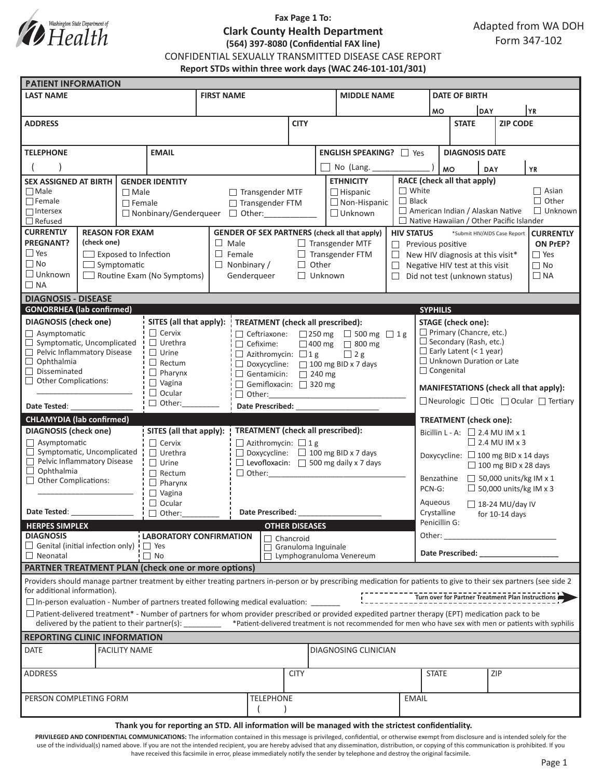

# **Fax Page 1 To: Clark County Health Department (564) 397-8080 (Confidential FAX line)**

CONFIDENTIAL SEXUALLY TRANSMITTED DISEASE CASE REPORT

**Report STDs within three work days (WAC 246-101-101/301)**

| <b>PATIENT INFORMATION</b>                                                          |                                                                                                                                                               |                                 |                                                                     |                                                    |                                                                                                                                                                     |                                                   |                 |                                                    |                                                                                                                                                                                                                                |                                                                                        |                                                                   |                  |                               |  |  |  |
|-------------------------------------------------------------------------------------|---------------------------------------------------------------------------------------------------------------------------------------------------------------|---------------------------------|---------------------------------------------------------------------|----------------------------------------------------|---------------------------------------------------------------------------------------------------------------------------------------------------------------------|---------------------------------------------------|-----------------|----------------------------------------------------|--------------------------------------------------------------------------------------------------------------------------------------------------------------------------------------------------------------------------------|----------------------------------------------------------------------------------------|-------------------------------------------------------------------|------------------|-------------------------------|--|--|--|
| <b>LAST NAME</b>                                                                    |                                                                                                                                                               |                                 |                                                                     | <b>FIRST NAME</b>                                  |                                                                                                                                                                     |                                                   |                 | <b>MIDDLE NAME</b>                                 |                                                                                                                                                                                                                                |                                                                                        | <b>DATE OF BIRTH</b>                                              |                  |                               |  |  |  |
|                                                                                     |                                                                                                                                                               |                                 |                                                                     |                                                    |                                                                                                                                                                     |                                                   |                 |                                                    | DAY<br><b>MO</b>                                                                                                                                                                                                               |                                                                                        |                                                                   | YR               |                               |  |  |  |
| <b>ADDRESS</b>                                                                      |                                                                                                                                                               |                                 |                                                                     |                                                    | <b>CITY</b>                                                                                                                                                         |                                                   |                 |                                                    |                                                                                                                                                                                                                                | <b>STATE</b>                                                                           |                                                                   | <b>ZIP CODE</b>  |                               |  |  |  |
|                                                                                     |                                                                                                                                                               |                                 |                                                                     |                                                    |                                                                                                                                                                     |                                                   |                 |                                                    |                                                                                                                                                                                                                                |                                                                                        |                                                                   |                  |                               |  |  |  |
| <b>EMAIL</b><br><b>TELEPHONE</b>                                                    |                                                                                                                                                               |                                 |                                                                     |                                                    |                                                                                                                                                                     | <b>ENGLISH SPEAKING?</b> □ Yes                    |                 |                                                    |                                                                                                                                                                                                                                |                                                                                        | <b>DIAGNOSIS DATE</b>                                             |                  |                               |  |  |  |
|                                                                                     |                                                                                                                                                               |                                 |                                                                     |                                                    |                                                                                                                                                                     |                                                   | No (Lang. _____ |                                                    |                                                                                                                                                                                                                                | <b>MO</b><br><b>YR</b>                                                                 |                                                                   |                  |                               |  |  |  |
| <b>SEX ASSIGNED AT BIRTH</b><br><b>GENDER IDENTITY</b>                              |                                                                                                                                                               |                                 |                                                                     |                                                    |                                                                                                                                                                     |                                                   |                 | <b>ETHNICITY</b>                                   |                                                                                                                                                                                                                                |                                                                                        | <b>DAY</b>                                                        |                  |                               |  |  |  |
| $\Box$ Male<br>$\Box$ Male                                                          |                                                                                                                                                               |                                 |                                                                     | $\Box$ Transgender MTF<br>$\Box$ Hispanic          |                                                                                                                                                                     |                                                   | $\Box$ White    | RACE (check all that apply)<br>$\Box$ Asian        |                                                                                                                                                                                                                                |                                                                                        |                                                                   |                  |                               |  |  |  |
| $\Box$ Female                                                                       |                                                                                                                                                               | $\Box$ Female                   |                                                                     |                                                    | $\Box$ Non-Hispanic<br>□ Transgender FTM                                                                                                                            |                                                   |                 | $\Box$ Black                                       |                                                                                                                                                                                                                                |                                                                                        |                                                                   |                  | $\Box$ Other                  |  |  |  |
| $\Box$ Intersex                                                                     |                                                                                                                                                               |                                 |                                                                     | □ Nonbinary/Genderqueer □ Other:                   |                                                                                                                                                                     |                                                   |                 | American Indian / Alaskan Native<br>$\Box$ Unknown |                                                                                                                                                                                                                                |                                                                                        |                                                                   |                  | $\Box$ Unknown                |  |  |  |
| $\Box$ Refused<br><b>CURRENTLY</b>                                                  |                                                                                                                                                               |                                 |                                                                     |                                                    |                                                                                                                                                                     |                                                   |                 |                                                    | $\Box$ Native Hawaiian / Other Pacific Islander                                                                                                                                                                                |                                                                                        |                                                                   |                  |                               |  |  |  |
| <b>REASON FOR EXAM</b><br><b>PREGNANT?</b><br>(check one)                           |                                                                                                                                                               |                                 |                                                                     |                                                    | <b>GENDER OF SEX PARTNERS (check all that apply)</b>                                                                                                                |                                                   |                 | <b>HIV STATUS</b>                                  | *Submit HIV/AIDS Case Report<br><b>CURRENTLY</b>                                                                                                                                                                               |                                                                                        |                                                                   |                  |                               |  |  |  |
| $\Box$ Yes<br>$\Box$ Exposed to Infection                                           |                                                                                                                                                               |                                 |                                                                     |                                                    | $\Box$ Male<br>$\Box$ Female                                                                                                                                        | $\Box$ Transgender MTF<br>$\Box$ Transgender FTM  |                 |                                                    | $\Box$                                                                                                                                                                                                                         | ON PrEP?<br>$\Box$ Previous positive<br>$\Box$ Yes<br>New HIV diagnosis at this visit* |                                                                   |                  |                               |  |  |  |
| $\square$ No<br>$\Box$ Symptomatic                                                  |                                                                                                                                                               |                                 |                                                                     | $\Box$ Nonbinary /                                 | $\Box$ Other                                                                                                                                                        |                                                   |                 | $\Box$                                             |                                                                                                                                                                                                                                |                                                                                        | Negative HIV test at this visit                                   |                  |                               |  |  |  |
| $\Box$ Unknown<br>$\Box$ Routine Exam (No Symptoms)                                 |                                                                                                                                                               |                                 |                                                                     | Genderqueer                                        | $\Box$ Unknown                                                                                                                                                      |                                                   |                 | $\Box$                                             |                                                                                                                                                                                                                                |                                                                                        | Did not test (unknown status)                                     |                  |                               |  |  |  |
| $\Box$ NA                                                                           |                                                                                                                                                               |                                 |                                                                     |                                                    |                                                                                                                                                                     |                                                   |                 |                                                    |                                                                                                                                                                                                                                | $\Box$ NA                                                                              |                                                                   |                  |                               |  |  |  |
| <b>DIAGNOSIS - DISEASE</b>                                                          |                                                                                                                                                               |                                 |                                                                     |                                                    |                                                                                                                                                                     |                                                   |                 |                                                    |                                                                                                                                                                                                                                |                                                                                        |                                                                   |                  |                               |  |  |  |
| <b>GONORRHEA</b> (lab confirmed)<br><b>SYPHILIS</b>                                 |                                                                                                                                                               |                                 |                                                                     |                                                    |                                                                                                                                                                     |                                                   |                 |                                                    |                                                                                                                                                                                                                                |                                                                                        |                                                                   |                  |                               |  |  |  |
| <b>DIAGNOSIS (check one)</b>                                                        |                                                                                                                                                               |                                 | SITES (all that apply):<br>TREATMENT (check all prescribed):        |                                                    |                                                                                                                                                                     |                                                   |                 |                                                    | <b>STAGE</b> (check one):                                                                                                                                                                                                      |                                                                                        |                                                                   |                  |                               |  |  |  |
| $\Box$ Asymptomatic                                                                 |                                                                                                                                                               |                                 | $\Box$ Cervix                                                       |                                                    | □ Ceftriaxone:                                                                                                                                                      | □ 250 mg □ 500 mg □ 1g                            |                 |                                                    |                                                                                                                                                                                                                                |                                                                                        | $\Box$ Primary (Chancre, etc.)                                    |                  |                               |  |  |  |
| Symptomatic, Uncomplicated                                                          |                                                                                                                                                               |                                 | $\Box$ Urethra                                                      |                                                    | $\Box$ Cefixime:                                                                                                                                                    |                                                   |                 | □ 400 mg □ 800 mg                                  |                                                                                                                                                                                                                                |                                                                                        | $\Box$ Secondary (Rash, etc.)                                     |                  |                               |  |  |  |
| Pelvic Inflammatory Disease<br>$\Box$ Ophthalmia                                    |                                                                                                                                                               |                                 | $\Box$ Urine<br>$\Box$ Rectum                                       | $\Box$ Azithromycin: $\Box$ 1 g                    |                                                                                                                                                                     |                                                   |                 | $\Box$ 2 g                                         |                                                                                                                                                                                                                                |                                                                                        | $\Box$ Early Latent (< 1 year)<br>$\Box$ Unknown Duration or Late |                  |                               |  |  |  |
| $\Box$ Disseminated                                                                 |                                                                                                                                                               |                                 | $\Box$ Pharynx                                                      | $\Box$ Gentamicin: $\Box$ 240 mg                   |                                                                                                                                                                     |                                                   |                 | $\Box$ Doxycycline: $\Box$ 100 mg BID x 7 days     |                                                                                                                                                                                                                                |                                                                                        | $\Box$ Congenital                                                 |                  |                               |  |  |  |
| $\Box$ Other Complications:                                                         |                                                                                                                                                               |                                 | $\Box$ Vagina                                                       | Gemifloxacin: 320 mg                               |                                                                                                                                                                     |                                                   |                 |                                                    |                                                                                                                                                                                                                                |                                                                                        |                                                                   |                  |                               |  |  |  |
|                                                                                     |                                                                                                                                                               |                                 | $\Box$ Ocular<br>$\Box$ Other:                                      |                                                    |                                                                                                                                                                     |                                                   |                 |                                                    |                                                                                                                                                                                                                                | MANIFESTATIONS (check all that apply):                                                 |                                                                   |                  |                               |  |  |  |
| Date Tested:                                                                        |                                                                                                                                                               |                                 | $\Box$ Other:                                                       | <b>Date Prescribed:</b>                            |                                                                                                                                                                     |                                                   |                 |                                                    |                                                                                                                                                                                                                                | □ Neurologic □ Otic □ Ocular □ Tertiary                                                |                                                                   |                  |                               |  |  |  |
| <b>CHLAMYDIA (lab confirmed)</b>                                                    |                                                                                                                                                               |                                 |                                                                     |                                                    |                                                                                                                                                                     |                                                   |                 |                                                    |                                                                                                                                                                                                                                | <b>TREATMENT</b> (check one):                                                          |                                                                   |                  |                               |  |  |  |
| <b>DIAGNOSIS (check one)</b>                                                        |                                                                                                                                                               |                                 | <b>TREATMENT</b> (check all prescribed):<br>SITES (all that apply): |                                                    |                                                                                                                                                                     |                                                   |                 |                                                    |                                                                                                                                                                                                                                |                                                                                        | Bicillin L - A: $\Box$ 2.4 MU IM x 1                              |                  |                               |  |  |  |
| $\Box$ Asymptomatic                                                                 |                                                                                                                                                               |                                 | $\Box$ Cervix                                                       |                                                    | $\Box$ Azithromycin: $\Box$ 1 g                                                                                                                                     |                                                   |                 |                                                    |                                                                                                                                                                                                                                | $\Box$ 2.4 MU IM x 3                                                                   |                                                                   |                  |                               |  |  |  |
| $\Box$ Symptomatic, Uncomplicated                                                   |                                                                                                                                                               |                                 | $\Box$ Urethra                                                      |                                                    |                                                                                                                                                                     | $\Box$ Doxycycline: $\Box$ 100 mg BID x 7 days    |                 |                                                    |                                                                                                                                                                                                                                | Doxycycline: $\Box$ 100 mg BID x 14 days                                               |                                                                   |                  |                               |  |  |  |
| Pelvic Inflammatory Disease                                                         |                                                                                                                                                               |                                 | $\Box$ Urine                                                        |                                                    |                                                                                                                                                                     | $\Box$ Levofloxacin: $\Box$ 500 mg daily x 7 days |                 |                                                    |                                                                                                                                                                                                                                |                                                                                        |                                                                   |                  | $\Box$ 100 mg BID x 28 days   |  |  |  |
| $\Box$ Ophthalmia<br>$\Box$ Other Complications:                                    |                                                                                                                                                               |                                 | $\Box$ Rectum                                                       |                                                    |                                                                                                                                                                     | $\Box$ Other:                                     |                 |                                                    |                                                                                                                                                                                                                                | Benzathine                                                                             |                                                                   |                  | $\Box$ 50,000 units/kg IM x 1 |  |  |  |
|                                                                                     |                                                                                                                                                               | $\Box$ Pharynx<br>$\Box$ Vagina |                                                                     |                                                    |                                                                                                                                                                     |                                                   |                 |                                                    | $\Box$ 50,000 units/kg IM x 3<br>PCN-G:                                                                                                                                                                                        |                                                                                        |                                                                   |                  |                               |  |  |  |
|                                                                                     |                                                                                                                                                               |                                 | $\Box$ Ocular                                                       |                                                    |                                                                                                                                                                     |                                                   |                 |                                                    |                                                                                                                                                                                                                                | Aqueous<br>$\Box$ 18-24 MU/day IV                                                      |                                                                   |                  |                               |  |  |  |
| Date Tested:                                                                        |                                                                                                                                                               |                                 | $\Box$ Other:                                                       | <b>Date Prescribed:</b>                            |                                                                                                                                                                     |                                                   |                 |                                                    |                                                                                                                                                                                                                                | Crystalline                                                                            |                                                                   | for $10-14$ days |                               |  |  |  |
| <b>HERPES SIMPLEX</b>                                                               |                                                                                                                                                               |                                 |                                                                     | <b>OTHER DISEASES</b>                              |                                                                                                                                                                     |                                                   |                 |                                                    |                                                                                                                                                                                                                                | Penicillin G:                                                                          |                                                                   |                  |                               |  |  |  |
| <b>DIAGNOSIS</b>                                                                    |                                                                                                                                                               |                                 |                                                                     | <b>LABORATORY CONFIRMATION</b><br>$\Box$ Chancroid |                                                                                                                                                                     |                                                   |                 |                                                    |                                                                                                                                                                                                                                | Other:<br><u> 1990 - Johann Barnett, fransk politik (</u>                              |                                                                   |                  |                               |  |  |  |
| $\Box$ Genital (initial infection only) $\vdash$ $\Box$ Yes                         |                                                                                                                                                               |                                 |                                                                     |                                                    |                                                                                                                                                                     | Granuloma Inguinale                               |                 |                                                    |                                                                                                                                                                                                                                |                                                                                        |                                                                   |                  |                               |  |  |  |
| $\Box$ No<br>$\Box$ Neonatal<br>PARTNER TREATMENT PLAN (check one or more options)  |                                                                                                                                                               |                                 |                                                                     | $\Box$ Lymphogranuloma Venereum                    |                                                                                                                                                                     |                                                   |                 |                                                    | Date Prescribed: Note that the present of the state of the state of the state of the state of the state of the state of the state of the state of the state of the state of the state of the state of the state of the state o |                                                                                        |                                                                   |                  |                               |  |  |  |
|                                                                                     |                                                                                                                                                               |                                 |                                                                     |                                                    |                                                                                                                                                                     |                                                   |                 |                                                    |                                                                                                                                                                                                                                |                                                                                        |                                                                   |                  |                               |  |  |  |
|                                                                                     |                                                                                                                                                               |                                 |                                                                     |                                                    | Providers should manage partner treatment by either treating partners in-person or by prescribing medication for patients to give to their sex partners (see side 2 |                                                   |                 |                                                    |                                                                                                                                                                                                                                |                                                                                        |                                                                   |                  |                               |  |  |  |
| for additional information).                                                        |                                                                                                                                                               |                                 |                                                                     |                                                    | □ In-person evaluation - Number of partners treated following medical evaluation: _______                                                                           |                                                   |                 |                                                    | Turn over for Partner Treatment Plan Instructions                                                                                                                                                                              |                                                                                        |                                                                   |                  |                               |  |  |  |
|                                                                                     |                                                                                                                                                               |                                 |                                                                     |                                                    |                                                                                                                                                                     |                                                   |                 |                                                    |                                                                                                                                                                                                                                |                                                                                        |                                                                   |                  |                               |  |  |  |
|                                                                                     |                                                                                                                                                               |                                 |                                                                     |                                                    | $\Box$ Patient-delivered treatment* - Number of partners for whom provider prescribed or provided expedited partner therapy (EPT) medication pack to be             |                                                   |                 |                                                    |                                                                                                                                                                                                                                |                                                                                        |                                                                   |                  |                               |  |  |  |
|                                                                                     | delivered by the patient to their partner(s): _______ *Patient-delivered treatment is not recommended for men who have sex with men or patients with syphilis |                                 |                                                                     |                                                    |                                                                                                                                                                     |                                                   |                 |                                                    |                                                                                                                                                                                                                                |                                                                                        |                                                                   |                  |                               |  |  |  |
| <b>REPORTING CLINIC INFORMATION</b><br><b>FACILITY NAME</b><br>DIAGNOSING CLINICIAN |                                                                                                                                                               |                                 |                                                                     |                                                    |                                                                                                                                                                     |                                                   |                 |                                                    |                                                                                                                                                                                                                                |                                                                                        |                                                                   |                  |                               |  |  |  |
| <b>DATE</b>                                                                         |                                                                                                                                                               |                                 |                                                                     |                                                    |                                                                                                                                                                     |                                                   |                 |                                                    |                                                                                                                                                                                                                                |                                                                                        |                                                                   |                  |                               |  |  |  |
| <b>ADDRESS</b>                                                                      |                                                                                                                                                               |                                 |                                                                     |                                                    |                                                                                                                                                                     | <b>CITY</b>                                       |                 |                                                    |                                                                                                                                                                                                                                | <b>STATE</b>                                                                           |                                                                   |                  | ZIP                           |  |  |  |
|                                                                                     |                                                                                                                                                               |                                 |                                                                     |                                                    |                                                                                                                                                                     |                                                   |                 |                                                    |                                                                                                                                                                                                                                |                                                                                        |                                                                   |                  |                               |  |  |  |
|                                                                                     |                                                                                                                                                               |                                 |                                                                     |                                                    |                                                                                                                                                                     |                                                   |                 |                                                    |                                                                                                                                                                                                                                |                                                                                        |                                                                   |                  |                               |  |  |  |
| PERSON COMPLETING FORM                                                              |                                                                                                                                                               |                                 |                                                                     |                                                    |                                                                                                                                                                     | <b>TELEPHONE</b>                                  |                 |                                                    |                                                                                                                                                                                                                                | <b>EMAIL</b>                                                                           |                                                                   |                  |                               |  |  |  |
|                                                                                     |                                                                                                                                                               |                                 |                                                                     |                                                    |                                                                                                                                                                     |                                                   |                 |                                                    |                                                                                                                                                                                                                                |                                                                                        |                                                                   |                  |                               |  |  |  |
|                                                                                     |                                                                                                                                                               |                                 |                                                                     |                                                    | Thank you for reporting an STD. All information will be managed with the strictest confidentiality.                                                                 |                                                   |                 |                                                    |                                                                                                                                                                                                                                |                                                                                        |                                                                   |                  |                               |  |  |  |

PRIVILEGED AND CONFIDENTIAL COMMUNICATIONS: The information contained in this message is privileged, confidential, or otherwise exempt from disclosure and is intended solely for the use of the individual(s) named above. If you are not the intended recipient, you are hereby advised that any dissemination, distribution, or copying of this communication is prohibited. If you have received this facsimile in error, please immediately notify the sender by telephone and destroy the original facsimile.